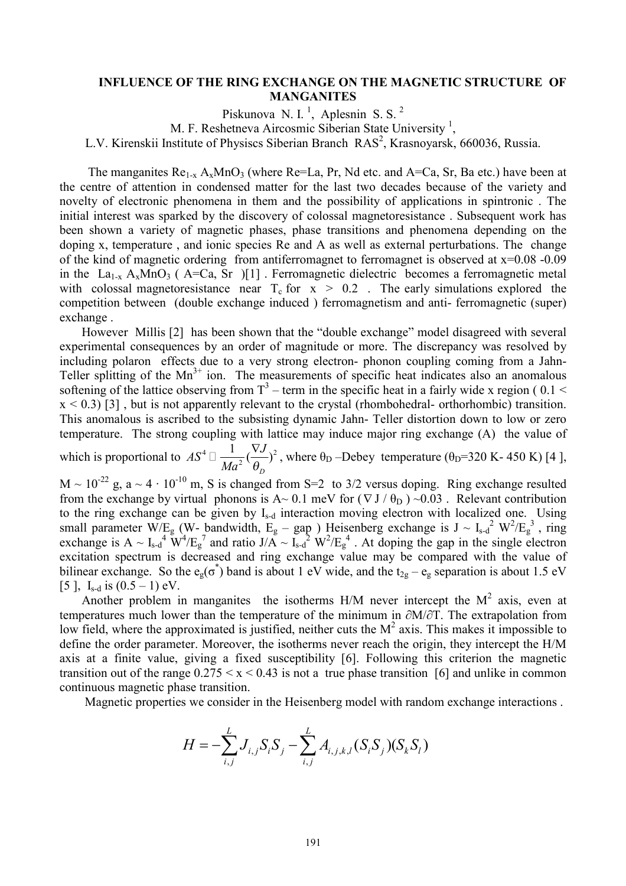## **INFLUENCE OF THE RING EXCHANGE ON THE MAGNETIC STRUCTURE OF MANGANITES**

Piskunova N. I.<sup>1</sup>, Aplesnin S. S.<sup>2</sup> M. F. Reshetneva Aircosmic Siberian State University<sup>1</sup>, L.V. Kirenskii Institute of Physiscs Siberian Branch RAS<sup>2</sup>, Krasnoyarsk, 660036, Russia.

The manganites  $\text{Re}_{1-x}$   $A_x \text{MnO}_3$  (where  $\text{Re}=La$ , Pr, Nd etc. and  $A=Ca$ , Sr, Ba etc.) have been at the centre of attention in condensed matter for the last two decades because of the variety and novelty of electronic phenomena in them and the possibility of applications in spintronic . The initial interest was sparked by the discovery of colossal magnetoresistance . Subsequent work has been shown a variety of magnetic phases, phase transitions and phenomena depending on the doping x, temperature , and ionic species Re and A as well as external perturbations. The change of the kind of magnetic ordering from antiferromagnet to ferromagnet is observed at x=0.08 -0.09 in the La<sub>1-x</sub> A<sub>x</sub>MnO<sub>3</sub> (A=Ca, Sr )[1]. Ferromagnetic dielectric becomes a ferromagnetic metal with colossal magnetoresistance near  $T_c$  for  $x > 0.2$ . The early simulations explored the competition between (double exchange induced ) ferromagnetism and anti- ferromagnetic (super) exchange .

 However Millis [2] has been shown that the "double exchange" model disagreed with several experimental consequences by an order of magnitude or more. The discrepancy was resolved by including polaron effects due to a very strong electron- phonon coupling coming from a Jahn-Teller splitting of the  $Mn^{3+}$  ion. The measurements of specific heat indicates also an anomalous softening of the lattice observing from  $T^3$  – term in the specific heat in a fairly wide x region (0.1 <  $x < 0.3$  [3], but is not apparently relevant to the crystal (rhombohedral- orthorhombic) transition. This anomalous is ascribed to the subsisting dynamic Jahn- Teller distortion down to low or zero temperature. The strong coupling with lattice may induce major ring exchange (A) the value of which is proportional to  $AS^4 \square \frac{1}{M\alpha^2} (\frac{VJ}{Q})^2$  $\frac{1}{\epsilon_0}(\frac{\nabla J}{\epsilon_0})$ *D*  $AS^4 \Box \frac{1}{\sqrt{2}} (\frac{\nabla J}{\partial \theta^2})$  $Ma^2$   $\theta$  $\Box \frac{1}{\Lambda} (\frac{\nabla J}{\Delta})^2$ , where  $\theta_D$ -Debey temperature ( $\theta_D$ =320 K-450 K) [4],  $M \sim 10^{-22}$  g, a  $\sim 4 \cdot 10^{-10}$  m, S is changed from S=2 to 3/2 versus doping. Ring exchange resulted from the exchange by virtual phonons is A~ 0.1 meV for  $(\nabla J / \theta_D)$  ~0.03. Relevant contribution to the ring exchange can be given by Is-d interaction moving electron with localized one. Using small parameter W/E<sub>g</sub> (W- bandwidth, E<sub>g</sub> – gap) Heisenberg exchange is  $J \sim I_{s-d}^2 W^2/E_g^3$ , ring

exchange is  $A \sim I_{s-d}^4 W^4/E_g^7$  and ratio  $J/A \sim I_{s-d}^2 W^2/E_g^4$ . At doping the gap in the single electron excitation spectrum is decreased and ring exchange value may be compared with the value of bilinear exchange. So the  $e_g(\sigma^*)$  band is about 1 eV wide, and the  $t_{2g} - e_g$  separation is about 1.5 eV [5],  $I_{s-d}$  is  $(0.5 - 1)$  eV.

Another problem in manganites the isotherms  $H/M$  never intercept the  $M<sup>2</sup>$  axis, even at temperatures much lower than the temperature of the minimum in ∂M/∂T. The extrapolation from low field, where the approximated is justified, neither cuts the  $M<sup>2</sup>$  axis. This makes it impossible to define the order parameter. Moreover, the isotherms never reach the origin, they intercept the H/M axis at a finite value, giving a fixed susceptibility [6]. Following this criterion the magnetic transition out of the range  $0.275 \le x \le 0.43$  is not a true phase transition [6] and unlike in common continuous magnetic phase transition.

Magnetic properties we consider in the Heisenberg model with random exchange interactions .

$$
H = -\sum_{i,j}^{L} J_{i,j} S_{i} S_{j} - \sum_{i,j}^{L} A_{i,j,k,l} (S_{i} S_{j}) (S_{k} S_{l})
$$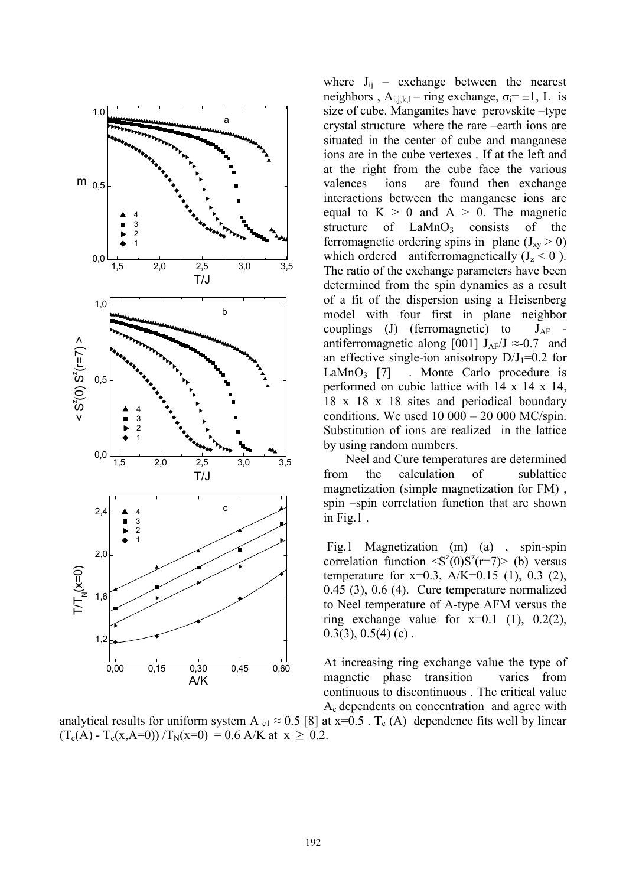

where  $J_{ij}$  – exchange between the nearest neighbors,  $A_{i,j,k,l}$  – ring exchange,  $\sigma_i = \pm 1$ , L is size of cube. Manganites have perovskite –type crystal structure where the rare –earth ions are situated in the center of cube and manganese ions are in the cube vertexes . If at the left and at the right from the cube face the various valences ions are found then exchange interactions between the manganese ions are equal to  $K > 0$  and  $A > 0$ . The magnetic structure of  $LaMnO<sub>3</sub>$  consists of the ferromagnetic ordering spins in plane  $(J_{xy} > 0)$ which ordered antiferromagnetically  $(J_z < 0)$ . The ratio of the exchange parameters have been determined from the spin dynamics as a result of a fit of the dispersion using a Heisenberg model with four first in plane neighbor couplings (J) (ferromagnetic) to  $J_{AF}$  antiferromagnetic along [001]  $J_{AF}/J \approx 0.7$  and an effective single-ion anisotropy  $D/J_1=0.2$  for LaMnO<sub>3</sub> [7] . Monte Carlo procedure is performed on cubic lattice with 14 x 14 x 14, 18 x 18 x 18 sites and periodical boundary conditions. We used  $10\ 000 - 20\ 000\ M C/\text{spin}$ . Substitution of ions are realized in the lattice by using random numbers.

 Neel and Cure temperatures are determined from the calculation of sublattice magnetization (simple magnetization for FM) , spin –spin correlation function that are shown in Fig.1 .

Fig.1 Magnetization (m) (a) , spin-spin correlation function  $\langle S^2(0)S^2(r=7)\rangle$  (b) versus temperature for  $x=0.3$ ,  $A/K=0.15$  (1), 0.3 (2), 0.45 (3), 0.6 (4). Cure temperature normalized to Neel temperature of A-type AFM versus the ring exchange value for  $x=0.1$  (1),  $0.2(2)$ ,  $0.3(3)$ ,  $0.5(4)$  (c).

At increasing ring exchange value the type of magnetic phase transition varies from continuous to discontinuous . The critical value Ac dependents on concentration and agree with

analytical results for uniform system A  $_{c1} \approx 0.5$  [8] at x=0.5 . T<sub>c</sub> (A) dependence fits well by linear  $(T_c(A) - T_c(x,A=0)) / T_N(x=0) = 0.6$  A/K at  $x \ge 0.2$ .